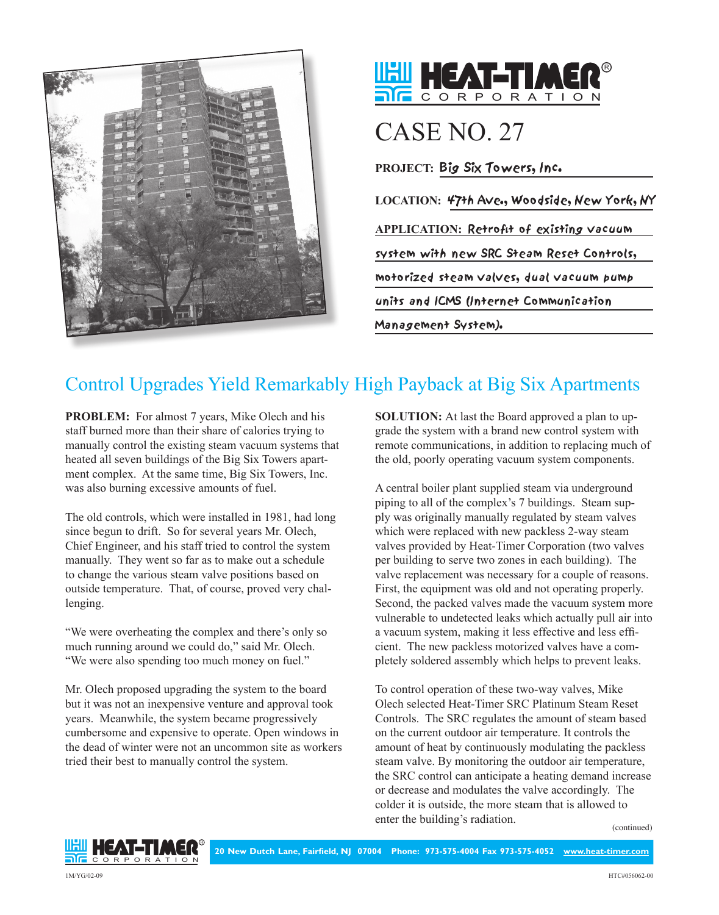



## CASE NO. 27

**PROJECT:** Big Six Towers, Inc.

**LOCATION:** 47th Ave., Woodside, New York, NY **APPLICATION:** Retrofit of existing vacuum system with new SRC Steam Reset Controls, motorized steam valves, dual vacuum pump units and ICMS (Internet Communication Management System).

## Control Upgrades Yield Remarkably High Payback at Big Six Apartments

**PROBLEM:** For almost 7 years, Mike Olech and his staff burned more than their share of calories trying to manually control the existing steam vacuum systems that heated all seven buildings of the Big Six Towers apartment complex. At the same time, Big Six Towers, Inc. was also burning excessive amounts of fuel.

The old controls, which were installed in 1981, had long since begun to drift. So for several years Mr. Olech, Chief Engineer, and his staff tried to control the system manually. They went so far as to make out a schedule to change the various steam valve positions based on outside temperature. That, of course, proved very challenging.

"We were overheating the complex and there's only so much running around we could do," said Mr. Olech. "We were also spending too much money on fuel."

Mr. Olech proposed upgrading the system to the board but it was not an inexpensive venture and approval took years. Meanwhile, the system became progressively cumbersome and expensive to operate. Open windows in the dead of winter were not an uncommon site as workers tried their best to manually control the system.

**SOLUTION:** At last the Board approved a plan to upgrade the system with a brand new control system with remote communications, in addition to replacing much of the old, poorly operating vacuum system components.

A central boiler plant supplied steam via underground piping to all of the complex's 7 buildings. Steam supply was originally manually regulated by steam valves which were replaced with new packless 2-way steam valves provided by Heat-Timer Corporation (two valves per building to serve two zones in each building). The valve replacement was necessary for a couple of reasons. First, the equipment was old and not operating properly. Second, the packed valves made the vacuum system more vulnerable to undetected leaks which actually pull air into a vacuum system, making it less effective and less efficient. The new packless motorized valves have a completely soldered assembly which helps to prevent leaks.

To control operation of these two-way valves, Mike Olech selected Heat-Timer SRC Platinum Steam Reset Controls. The SRC regulates the amount of steam based on the current outdoor air temperature. It controls the amount of heat by continuously modulating the packless steam valve. By monitoring the outdoor air temperature, the SRC control can anticipate a heating demand increase or decrease and modulates the valve accordingly. The colder it is outside, the more steam that is allowed to enter the building's radiation.

(continued)